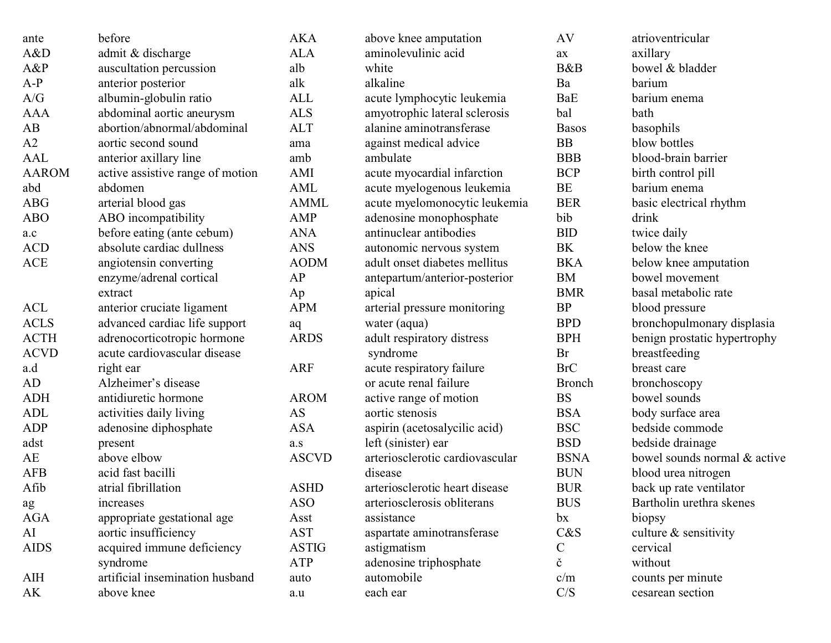| ante         | before                           | <b>AKA</b>   | above knee amputation           | AV            | atrioventricular             |
|--------------|----------------------------------|--------------|---------------------------------|---------------|------------------------------|
| A&D          | admit & discharge                | <b>ALA</b>   | aminolevulinic acid             | ax            | axillary                     |
| A&P          | auscultation percussion          | alb          | white                           | B&B           | bowel & bladder              |
| $A-P$        | anterior posterior               | alk          | alkaline                        | Ba            | barium                       |
| A/G          | albumin-globulin ratio           | ALL          | acute lymphocytic leukemia      | BaE           | barium enema                 |
| <b>AAA</b>   | abdominal aortic aneurysm        | <b>ALS</b>   | amyotrophic lateral sclerosis   | bal           | bath                         |
| AB           | abortion/abnormal/abdominal      | <b>ALT</b>   | alanine aminotransferase        | <b>Basos</b>  | basophils                    |
| A2           | aortic second sound              | ama          | against medical advice          | BB            | blow bottles                 |
| <b>AAL</b>   | anterior axillary line           | amb          | ambulate                        | <b>BBB</b>    | blood-brain barrier          |
| <b>AAROM</b> | active assistive range of motion | AMI          | acute myocardial infarction     | <b>BCP</b>    | birth control pill           |
| abd          | abdomen                          | AML          | acute myelogenous leukemia      | BE            | barium enema                 |
| <b>ABG</b>   | arterial blood gas               | <b>AMML</b>  | acute myelomonocytic leukemia   | <b>BER</b>    | basic electrical rhythm      |
| <b>ABO</b>   | ABO incompatibility              | AMP          | adenosine monophosphate         | bib           | drink                        |
| a.c          | before eating (ante cebum)       | <b>ANA</b>   | antinuclear antibodies          | <b>BID</b>    | twice daily                  |
| <b>ACD</b>   | absolute cardiac dullness        | <b>ANS</b>   | autonomic nervous system        | BK            | below the knee               |
| <b>ACE</b>   | angiotensin converting           | <b>AODM</b>  | adult onset diabetes mellitus   | <b>BKA</b>    | below knee amputation        |
|              | enzyme/adrenal cortical          | AP           | antepartum/anterior-posterior   | BM            | bowel movement               |
|              | extract                          | Ap           | apical                          | <b>BMR</b>    | basal metabolic rate         |
| <b>ACL</b>   | anterior cruciate ligament       | <b>APM</b>   | arterial pressure monitoring    | BP            | blood pressure               |
| <b>ACLS</b>  | advanced cardiac life support    | aq           | water (aqua)                    | <b>BPD</b>    | bronchopulmonary displasia   |
| <b>ACTH</b>  | adrenocorticotropic hormone      | <b>ARDS</b>  | adult respiratory distress      | <b>BPH</b>    | benign prostatic hypertrophy |
| <b>ACVD</b>  | acute cardiovascular disease     |              | syndrome                        | Br            | breastfeeding                |
| a.d          | right ear                        | <b>ARF</b>   | acute respiratory failure       | <b>BrC</b>    | breast care                  |
| AD           | Alzheimer's disease              |              | or acute renal failure          | <b>Bronch</b> | bronchoscopy                 |
| <b>ADH</b>   | antidiuretic hormone             | <b>AROM</b>  | active range of motion          | <b>BS</b>     | bowel sounds                 |
| ADL          | activities daily living          | AS           | aortic stenosis                 | <b>BSA</b>    | body surface area            |
| <b>ADP</b>   | adenosine diphosphate            | <b>ASA</b>   | aspirin (acetosalycilic acid)   | <b>BSC</b>    | bedside commode              |
| adst         | present                          | a.s          | left (sinister) ear             | <b>BSD</b>    | bedside drainage             |
| AE           | above elbow                      | <b>ASCVD</b> | arteriosclerotic cardiovascular | <b>BSNA</b>   | bowel sounds normal & active |
| <b>AFB</b>   | acid fast bacilli                |              | disease                         | <b>BUN</b>    | blood urea nitrogen          |
| Afib         | atrial fibrillation              | <b>ASHD</b>  | arteriosclerotic heart disease  | <b>BUR</b>    | back up rate ventilator      |
| ag           | increases                        | <b>ASO</b>   | arteriosclerosis obliterans     | <b>BUS</b>    | Bartholin urethra skenes     |
| AGA          | appropriate gestational age      | Asst         | assistance                      | bx            | biopsy                       |
| AI           | aortic insufficiency             | <b>AST</b>   | aspartate aminotransferase      | C&S           | culture $&$ sensitivity      |
| <b>AIDS</b>  | acquired immune deficiency       | <b>ASTIG</b> | astigmatism                     | $\mathcal{C}$ | cervical                     |
|              | syndrome                         | <b>ATP</b>   | adenosine triphosphate          | č             | without                      |
| <b>AIH</b>   | artificial insemination husband  | auto         | automobile                      | c/m           | counts per minute            |
| AK           | above knee                       | $\rm a.u$    | each ear                        | C/S           | cesarean section             |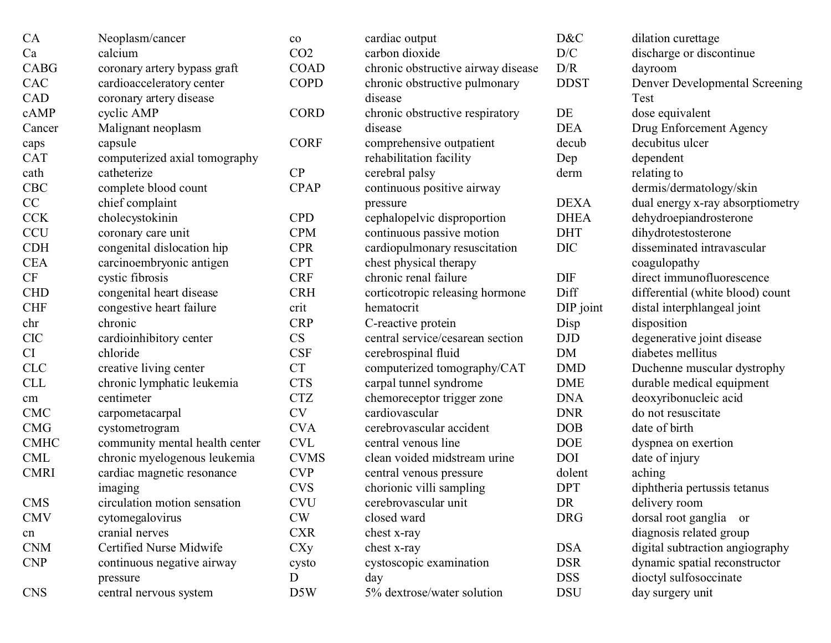| CA          | Neoplasm/cancer                | $\rm{co}$       |
|-------------|--------------------------------|-----------------|
| Ca          | calcium                        | CO <sub>2</sub> |
| <b>CABG</b> | coronary artery bypass graft   | <b>COAD</b>     |
| CAC         | cardioacceleratory center      | <b>COPD</b>     |
| CAD         | coronary artery disease        |                 |
| cAMP        | cyclic AMP                     | <b>CORD</b>     |
| Cancer      | Malignant neoplasm             |                 |
| caps        | capsule                        | <b>CORF</b>     |
| <b>CAT</b>  | computerized axial tomography  |                 |
| cath        | catheterize                    | CP              |
| <b>CBC</b>  | complete blood count           | <b>CPAP</b>     |
| CC          | chief complaint                |                 |
| <b>CCK</b>  | cholecystokinin                | <b>CPD</b>      |
| <b>CCU</b>  | coronary care unit             | <b>CPM</b>      |
| <b>CDH</b>  | congenital dislocation hip     | <b>CPR</b>      |
| <b>CEA</b>  | carcinoembryonic antigen       | <b>CPT</b>      |
| CF          | cystic fibrosis                | <b>CRF</b>      |
| <b>CHD</b>  | congenital heart disease       | <b>CRH</b>      |
| <b>CHF</b>  | congestive heart failure       | crit            |
| chr         | chronic                        | <b>CRP</b>      |
| <b>CIC</b>  | cardioinhibitory center        | CS              |
| CI          | chloride                       | CSF             |
| <b>CLC</b>  | creative living center         | <b>CT</b>       |
| <b>CLL</b>  | chronic lymphatic leukemia     | <b>CTS</b>      |
| cm          | centimeter                     | <b>CTZ</b>      |
| <b>CMC</b>  | carpometacarpal                | <b>CV</b>       |
| <b>CMG</b>  | cystometrogram                 | <b>CVA</b>      |
| <b>CMHC</b> | community mental health center | <b>CVL</b>      |
| <b>CML</b>  | chronic myelogenous leukemia   | <b>CVMS</b>     |
| <b>CMRI</b> | cardiac magnetic resonance     | <b>CVP</b>      |
|             | imaging                        | <b>CVS</b>      |
| <b>CMS</b>  | circulation motion sensation   | <b>CVU</b>      |
| <b>CMV</b>  | cytomegalovirus                | CW              |
| cn          | cranial nerves                 | <b>CXR</b>      |
| <b>CNM</b>  | Certified Nurse Midwife        | $\rm CXy$       |
| <b>CNP</b>  | continuous negative airway     | cysto           |
|             | pressure                       | D               |
| <b>CNS</b>  | central nervous system         | D5W             |
|             |                                |                 |

| $\overline{\text{co}}$ | cardiac output                     |
|------------------------|------------------------------------|
| CO <sub>2</sub>        | carbon dioxide                     |
| COAD                   | chronic obstructive airway disease |
| <b>COPD</b>            | chronic obstructive pulmonary      |
|                        | disease                            |
| <b>CORD</b>            | chronic obstructive respiratory    |
|                        | disease                            |
| <b>CORF</b>            | comprehensive outpatient           |
|                        | rehabilitation facility            |
| $\overline{\text{CP}}$ | cerebral palsy                     |
| <b>CPAP</b>            | continuous positive airway         |
|                        | pressure                           |
| <b>CPD</b>             | cephalopelvic disproportion        |
| <b>CPM</b>             | continuous passive motion          |
| <b>CPR</b>             | cardiopulmonary resuscitation      |
| <b>CPT</b>             | chest physical therapy             |
| <b>CRF</b>             | chronic renal failure              |
| <b>CRH</b>             | corticotropic releasing hormone    |
| crit                   | hematocrit                         |
| <b>CRP</b>             | C-reactive protein                 |
| $\overline{\text{CS}}$ | central service/cesarean section   |
| <b>CSF</b>             | cerebrospinal fluid                |
| <b>CT</b>              | computerized tomography/CAT        |
| <b>CTS</b>             | carpal tunnel syndrome             |
| <b>CTZ</b>             | chemoreceptor trigger zone         |
| <b>CV</b>              | cardiovascular                     |
| <b>CVA</b>             | cerebrovascular accident           |
| CVL                    | central venous line                |
| <b>CVMS</b>            | clean voided midstream urine       |
| <b>CVP</b>             | central venous pressure            |
| <b>CVS</b>             | chorionic villi sampling           |
| CVU                    | cerebrovascular unit               |
| CW                     | closed ward                        |
| <b>CXR</b>             | chest x-ray                        |
| CXy                    | chest x-ray                        |
| cysto                  | cystoscopic examination            |
| D                      | day                                |
| D5W                    | 5% dextrose/water solution         |

| D&C         | dilation curettage               |
|-------------|----------------------------------|
| D/C         | discharge or discontinue         |
| D/R         | dayroom                          |
| <b>DDST</b> | Denver Developmental Screening   |
|             | Test                             |
| DE          | dose equivalent                  |
| <b>DEA</b>  | Drug Enforcement Agency          |
| decub       | decubitus ulcer                  |
| Dep         | dependent                        |
| derm        | relating to                      |
|             | dermis/dermatology/skin          |
| <b>DEXA</b> | dual energy x-ray absorptiometry |
| <b>DHEA</b> | dehydroepiandrosterone           |
| <b>DHT</b>  | dihydrotestosterone              |
| <b>DIC</b>  | disseminated intravascular       |
|             | coagulopathy                     |
| DIF         | direct immunofluorescence        |
| Diff        | differential (white blood) count |
| DIP joint   | distal interphlangeal joint      |
| Disp        | disposition                      |
| <b>DJD</b>  | degenerative joint disease       |
| DM          | diabetes mellitus                |
| <b>DMD</b>  | Duchenne muscular dystrophy      |
| <b>DME</b>  | durable medical equipment        |
| <b>DNA</b>  | deoxyribonucleic acid            |
| <b>DNR</b>  | do not resuscitate               |
| <b>DOB</b>  | date of birth                    |
| <b>DOE</b>  | dyspnea on exertion              |
| <b>DOI</b>  | date of injury                   |
| dolent      | aching                           |
| <b>DPT</b>  | diphtheria pertussis tetanus     |
| DR          | delivery room                    |
| <b>DRG</b>  | dorsal root ganglia<br>or        |
|             | diagnosis related group          |
| <b>DSA</b>  | digital subtraction angiography  |
| <b>DSR</b>  | dynamic spatial reconstructor    |
| <b>DSS</b>  | dioctyl sulfosoccinate           |
| <b>DSU</b>  | day surgery unit                 |
|             |                                  |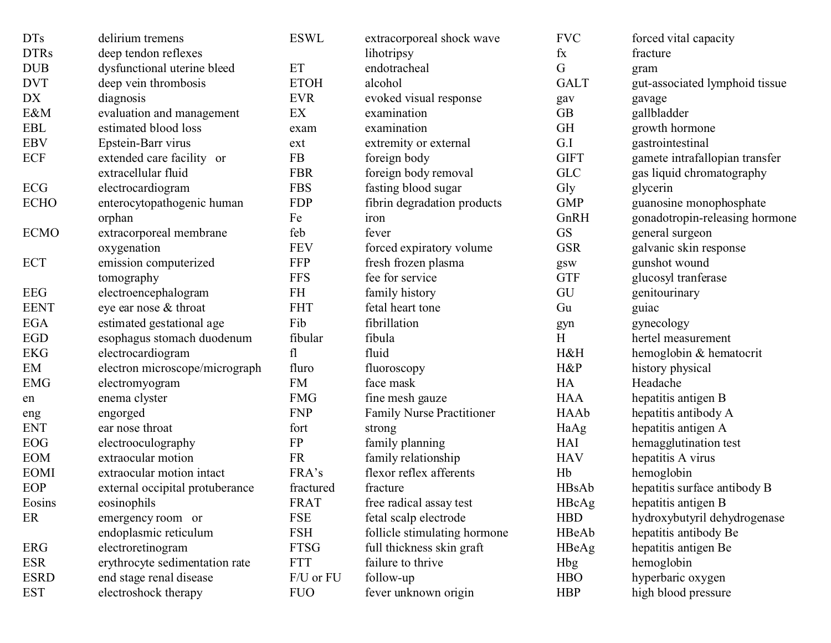| <b>DTs</b>  | delirium tremens                | <b>ESWL</b> | extracorporeal shock wave        | <b>FVC</b>                | forced vital capacity          |
|-------------|---------------------------------|-------------|----------------------------------|---------------------------|--------------------------------|
| <b>DTRs</b> | deep tendon reflexes            |             | lihotripsy                       | $f_{X}$                   | fracture                       |
| <b>DUB</b>  | dysfunctional uterine bleed     | ET          | endotracheal                     | G                         | gram                           |
| <b>DVT</b>  | deep vein thrombosis            | <b>ETOH</b> | alcohol                          | <b>GALT</b>               | gut-associated lymphoid tissue |
| DX          | diagnosis                       | <b>EVR</b>  | evoked visual response           | gav                       | gavage                         |
| E&M         | evaluation and management       | EX          | examination                      | <b>GB</b>                 | gallbladder                    |
| <b>EBL</b>  | estimated blood loss            | exam        | examination                      | <b>GH</b>                 | growth hormone                 |
| <b>EBV</b>  | Epstein-Barr virus              | ext         | extremity or external            | G.I                       | gastrointestinal               |
| <b>ECF</b>  | extended care facility or       | FB          | foreign body                     | <b>GIFT</b>               | gamete intrafallopian transfer |
|             | extracellular fluid             | <b>FBR</b>  | foreign body removal             | <b>GLC</b>                | gas liquid chromatography      |
| <b>ECG</b>  | electrocardiogram               | <b>FBS</b>  | fasting blood sugar              | Gly                       | glycerin                       |
| <b>ECHO</b> | enterocytopathogenic human      | <b>FDP</b>  | fibrin degradation products      | <b>GMP</b>                | guanosine monophosphate        |
|             | orphan                          | Fe          | iron                             | GnRH                      | gonadotropin-releasing hormone |
| <b>ECMO</b> | extracorporeal membrane         | feb         | fever                            | <b>GS</b>                 | general surgeon                |
|             | oxygenation                     | <b>FEV</b>  | forced expiratory volume         | <b>GSR</b>                | galvanic skin response         |
| <b>ECT</b>  | emission computerized           | <b>FFP</b>  | fresh frozen plasma              | gsw                       | gunshot wound                  |
|             | tomography                      | <b>FFS</b>  | fee for service                  | <b>GTF</b>                | glucosyl tranferase            |
| <b>EEG</b>  | electroencephalogram            | FH          | family history                   | GU                        | genitourinary                  |
| <b>EENT</b> | eye ear nose & throat           | <b>FHT</b>  | fetal heart tone                 | Gu                        | guiac                          |
| <b>EGA</b>  | estimated gestational age       | Fib         | fibrillation                     | gyn                       | gynecology                     |
| <b>EGD</b>  | esophagus stomach duodenum      | fibular     | fibula                           | $\boldsymbol{\mathrm{H}}$ | hertel measurement             |
| <b>EKG</b>  | electrocardiogram               | fl          | fluid                            | H&H                       | hemoglobin & hematocrit        |
| EM          | electron microscope/micrograph  | fluro       | fluoroscopy                      | H&P                       | history physical               |
| <b>EMG</b>  | electromyogram                  | <b>FM</b>   | face mask                        | HA                        | Headache                       |
| en          | enema clyster                   | <b>FMG</b>  | fine mesh gauze                  | <b>HAA</b>                | hepatitis antigen B            |
| eng         | engorged                        | <b>FNP</b>  | <b>Family Nurse Practitioner</b> | HAAb                      | hepatitis antibody A           |
| <b>ENT</b>  | ear nose throat                 | fort        | strong                           | HaAg                      | hepatitis antigen A            |
| <b>EOG</b>  | electrooculography              | ${\rm FP}$  | family planning                  | HAI                       | hemagglutination test          |
| <b>EOM</b>  | extraocular motion              | <b>FR</b>   | family relationship              | <b>HAV</b>                | hepatitis A virus              |
| <b>EOMI</b> | extraocular motion intact       | FRA's       | flexor reflex afferents          | Hb                        | hemoglobin                     |
| <b>EOP</b>  | external occipital protuberance | fractured   | fracture                         | HBsAb                     | hepatitis surface antibody B   |
| Eosins      | eosinophils                     | <b>FRAT</b> | free radical assay test          | HBcAg                     | hepatitis antigen B            |
| ER          | emergency room or               | <b>FSE</b>  | fetal scalp electrode            | <b>HBD</b>                | hydroxybutyril dehydrogenase   |
|             | endoplasmic reticulum           | <b>FSH</b>  | follicle stimulating hormone     | HBeAb                     | hepatitis antibody Be          |
| <b>ERG</b>  | electroretinogram               | <b>FTSG</b> | full thickness skin graft        | HBeAg                     | hepatitis antigen Be           |
| <b>ESR</b>  | erythrocyte sedimentation rate  | <b>FTT</b>  | failure to thrive                | <b>Hbg</b>                | hemoglobin                     |
| <b>ESRD</b> | end stage renal disease         | F/U or FU   | follow-up                        | <b>HBO</b>                | hyperbaric oxygen              |
| <b>EST</b>  | electroshock therapy            | <b>FUO</b>  | fever unknown origin             | <b>HBP</b>                | high blood pressure            |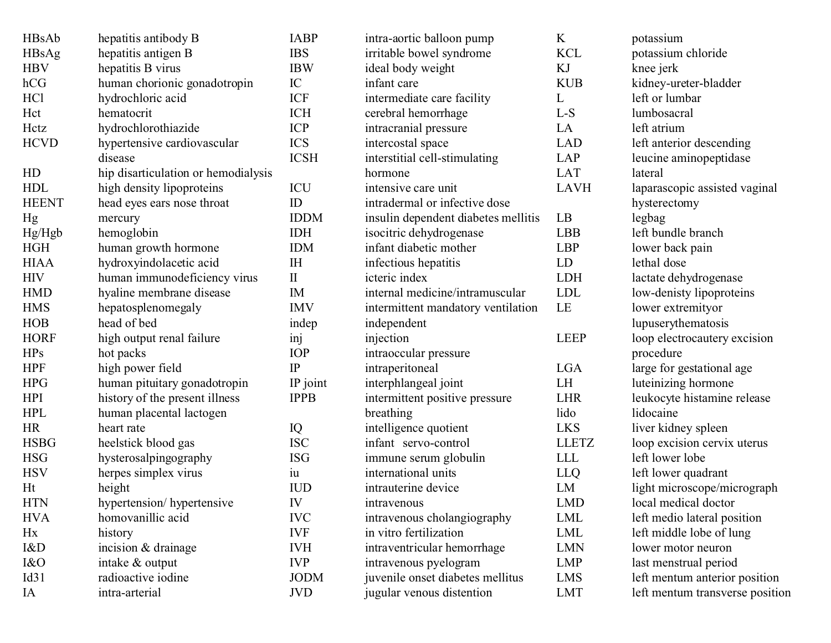| HBsAb           | hepatitis antibody B                | <b>IABP</b>    | intra-aortic balloon pump           | K            | potassium                       |
|-----------------|-------------------------------------|----------------|-------------------------------------|--------------|---------------------------------|
| HBsAg           | hepatitis antigen B                 | <b>IBS</b>     | irritable bowel syndrome            | <b>KCL</b>   | potassium chloride              |
| <b>HBV</b>      | hepatitis B virus                   | <b>IBW</b>     | ideal body weight                   | KJ           | knee jerk                       |
| hCG             | human chorionic gonadotropin        | $\rm{IC}$      | infant care                         | <b>KUB</b>   | kidney-ureter-bladder           |
| HC <sub>1</sub> | hydrochloric acid                   | ICF            | intermediate care facility          | L            | left or lumbar                  |
| Hct             | hematocrit                          | <b>ICH</b>     | cerebral hemorrhage                 | L-S          | lumbosacral                     |
| Hctz            | hydrochlorothiazide                 | <b>ICP</b>     | intracranial pressure               | LA           | left atrium                     |
| <b>HCVD</b>     | hypertensive cardiovascular         | <b>ICS</b>     | intercostal space                   | <b>LAD</b>   | left anterior descending        |
|                 | disease                             | <b>ICSH</b>    | interstitial cell-stimulating       | LAP          | leucine aminopeptidase          |
| HD              | hip disarticulation or hemodialysis |                | hormone                             | <b>LAT</b>   | lateral                         |
| <b>HDL</b>      | high density lipoproteins           | ICU            | intensive care unit                 | <b>LAVH</b>  | laparascopic assisted vaginal   |
| <b>HEENT</b>    | head eyes ears nose throat          | ID             | intradermal or infective dose       |              | hysterectomy                    |
| Hg              | mercury                             | <b>IDDM</b>    | insulin dependent diabetes mellitis | LB           | legbag                          |
| Hg/Hgb          | hemoglobin                          | <b>IDH</b>     | isocitric dehydrogenase             | <b>LBB</b>   | left bundle branch              |
| <b>HGH</b>      | human growth hormone                | <b>IDM</b>     | infant diabetic mother              | <b>LBP</b>   | lower back pain                 |
| <b>HIAA</b>     | hydroxyindolacetic acid             | I <sub>H</sub> | infectious hepatitis                | LD           | lethal dose                     |
| <b>HIV</b>      | human immunodeficiency virus        | $\rm II$       | icteric index                       | <b>LDH</b>   | lactate dehydrogenase           |
| <b>HMD</b>      | hyaline membrane disease            | IM             | internal medicine/intramuscular     | <b>LDL</b>   | low-denisty lipoproteins        |
| <b>HMS</b>      | hepatosplenomegaly                  | <b>IMV</b>     | intermittent mandatory ventilation  | LE           | lower extremityor               |
| <b>HOB</b>      | head of bed                         | indep          | independent                         |              | lupuserythematosis              |
| <b>HORF</b>     | high output renal failure           | inj            | injection                           | <b>LEEP</b>  | loop electrocautery excision    |
| HPs             | hot packs                           | <b>IOP</b>     | intraoccular pressure               |              | procedure                       |
| <b>HPF</b>      | high power field                    | IP             | intraperitoneal                     | <b>LGA</b>   | large for gestational age       |
| <b>HPG</b>      | human pituitary gonadotropin        | IP joint       | interphlangeal joint                | LH           | luteinizing hormone             |
| <b>HPI</b>      | history of the present illness      | <b>IPPB</b>    | intermittent positive pressure      | <b>LHR</b>   | leukocyte histamine release     |
| <b>HPL</b>      | human placental lactogen            |                | breathing                           | lido         | lidocaine                       |
| HR              | heart rate                          | IQ             | intelligence quotient               | <b>LKS</b>   | liver kidney spleen             |
| <b>HSBG</b>     | heelstick blood gas                 | <b>ISC</b>     | infant servo-control                | <b>LLETZ</b> | loop excision cervix uterus     |
| <b>HSG</b>      | hysterosalpingography               | <b>ISG</b>     | immune serum globulin               | <b>LLL</b>   | left lower lobe                 |
| <b>HSV</b>      | herpes simplex virus                | $\mathbf{u}$   | international units                 | LLQ          | left lower quadrant             |
| Ht              | height                              | <b>IUD</b>     | intrauterine device                 | LM           | light microscope/micrograph     |
| <b>HTN</b>      | hypertension/hypertensive           | IV             | intravenous                         | <b>LMD</b>   | local medical doctor            |
| <b>HVA</b>      | homovanillic acid                   | <b>IVC</b>     | intravenous cholangiography         | <b>LML</b>   | left medio lateral position     |
| Hx              | history                             | <b>IVF</b>     | in vitro fertilization              | LML          | left middle lobe of lung        |
| I&D             | incision & drainage                 | <b>IVH</b>     | intraventricular hemorrhage         | <b>LMN</b>   | lower motor neuron              |
| I&O             | intake & output                     | <b>IVP</b>     | intravenous pyelogram               | <b>LMP</b>   | last menstrual period           |
| Id31            | radioactive iodine                  | <b>JODM</b>    | juvenile onset diabetes mellitus    | LMS          | left mentum anterior position   |
| IA              | intra-arterial                      | <b>JVD</b>     | jugular venous distention           | <b>LMT</b>   | left mentum transverse position |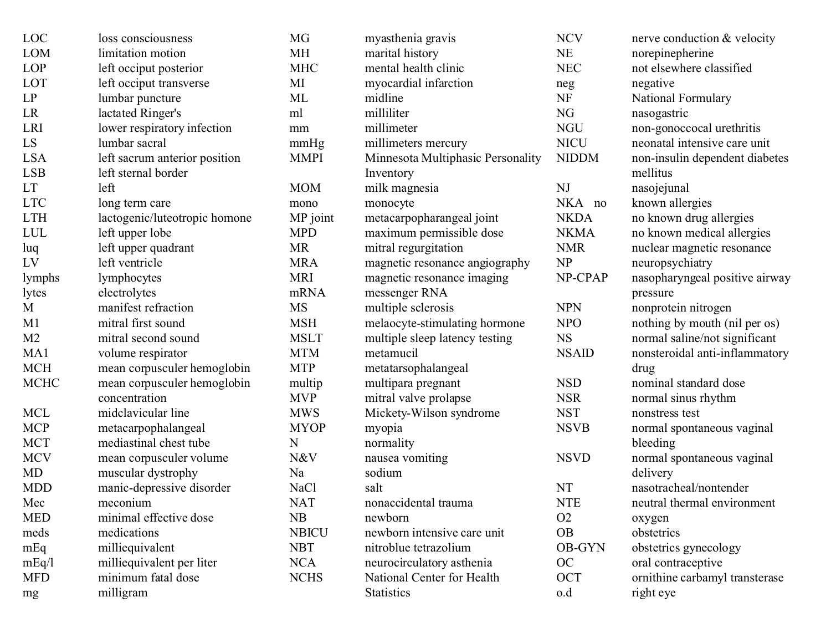| LOC            | loss consciousness            | MG           | myasthenia gravis                 | <b>NCV</b>    | nerve conduction & velocity    |
|----------------|-------------------------------|--------------|-----------------------------------|---------------|--------------------------------|
| <b>LOM</b>     | limitation motion             | <b>MH</b>    | marital history                   | NE            | norepinepherine                |
| <b>LOP</b>     | left occiput posterior        | <b>MHC</b>   | mental health clinic              | <b>NEC</b>    | not elsewhere classified       |
| LOT            | left occiput transverse       | MI           | myocardial infarction             | neg           | negative                       |
| LP             | lumbar puncture               | ML           | midline                           | <b>NF</b>     | <b>National Formulary</b>      |
| LR             | lactated Ringer's             | ml           | milliliter                        | NG            | nasogastric                    |
| <b>LRI</b>     | lower respiratory infection   | mm           | millimeter                        | <b>NGU</b>    | non-gonoccocal urethritis      |
| LS             | lumbar sacral                 | mmHg         | millimeters mercury               | <b>NICU</b>   | neonatal intensive care unit   |
| <b>LSA</b>     | left sacrum anterior position | <b>MMPI</b>  | Minnesota Multiphasic Personality | <b>NIDDM</b>  | non-insulin dependent diabetes |
| <b>LSB</b>     | left sternal border           |              | Inventory                         |               | mellitus                       |
| LT             | left                          | <b>MOM</b>   | milk magnesia                     | NJ            | nasojejunal                    |
| <b>LTC</b>     | long term care                | mono         | monocyte                          | NKA no        | known allergies                |
| <b>LTH</b>     | lactogenic/luteotropic homone | MP joint     | metacarpopharangeal joint         | <b>NKDA</b>   | no known drug allergies        |
| <b>LUL</b>     | left upper lobe               | <b>MPD</b>   | maximum permissible dose          | <b>NKMA</b>   | no known medical allergies     |
| luq            | left upper quadrant           | <b>MR</b>    | mitral regurgitation              | <b>NMR</b>    | nuclear magnetic resonance     |
| LV             | left ventricle                | <b>MRA</b>   | magnetic resonance angiography    | <b>NP</b>     | neuropsychiatry                |
| lymphs         | lymphocytes                   | <b>MRI</b>   | magnetic resonance imaging        | NP-CPAP       | nasopharyngeal positive airway |
| lytes          | electrolytes                  | mRNA         | messenger RNA                     |               | pressure                       |
| M              | manifest refraction           | <b>MS</b>    | multiple sclerosis                | <b>NPN</b>    | nonprotein nitrogen            |
| M1             | mitral first sound            | <b>MSH</b>   | melaocyte-stimulating hormone     | <b>NPO</b>    | nothing by mouth (nil per os)  |
| M <sub>2</sub> | mitral second sound           | <b>MSLT</b>  | multiple sleep latency testing    | <b>NS</b>     | normal saline/not significant  |
| MA1            | volume respirator             | <b>MTM</b>   | metamucil                         | <b>NSAID</b>  | nonsteroidal anti-inflammatory |
| <b>MCH</b>     | mean corpusculer hemoglobin   | <b>MTP</b>   | metatarsophalangeal               |               | drug                           |
| <b>MCHC</b>    | mean corpusculer hemoglobin   | multip       | multipara pregnant                | <b>NSD</b>    | nominal standard dose          |
|                | concentration                 | <b>MVP</b>   | mitral valve prolapse             | <b>NSR</b>    | normal sinus rhythm            |
| <b>MCL</b>     | midclavicular line            | <b>MWS</b>   | Mickety-Wilson syndrome           | <b>NST</b>    | nonstress test                 |
| <b>MCP</b>     | metacarpophalangeal           | <b>MYOP</b>  | myopia                            | <b>NSVB</b>   | normal spontaneous vaginal     |
| <b>MCT</b>     | mediastinal chest tube        | N            | normality                         |               | bleeding                       |
| <b>MCV</b>     | mean corpusculer volume       | N&V          | nausea vomiting                   | <b>NSVD</b>   | normal spontaneous vaginal     |
| MD             | muscular dystrophy            | Na           | sodium                            |               | delivery                       |
| <b>MDD</b>     | manic-depressive disorder     | <b>NaCl</b>  | salt                              | <b>NT</b>     | nasotracheal/nontender         |
| Mec            | meconium                      | <b>NAT</b>   | nonaccidental trauma              | <b>NTE</b>    | neutral thermal environment    |
| <b>MED</b>     | minimal effective dose        | NB           | newborn                           | O2            | oxygen                         |
| meds           | medications                   | <b>NBICU</b> | newborn intensive care unit       | <b>OB</b>     | obstetrics                     |
| mEq            | milliequivalent               | <b>NBT</b>   | nitroblue tetrazolium             | <b>OB-GYN</b> | obstetrics gynecology          |
| mEq/1          | milliequivalent per liter     | <b>NCA</b>   | neurocirculatory asthenia         | <b>OC</b>     | oral contraceptive             |
| <b>MFD</b>     | minimum fatal dose            | <b>NCHS</b>  | National Center for Health        | OCT           | ornithine carbamyl transterase |
| mg             | milligram                     |              | <b>Statistics</b>                 | o.d           | right eye                      |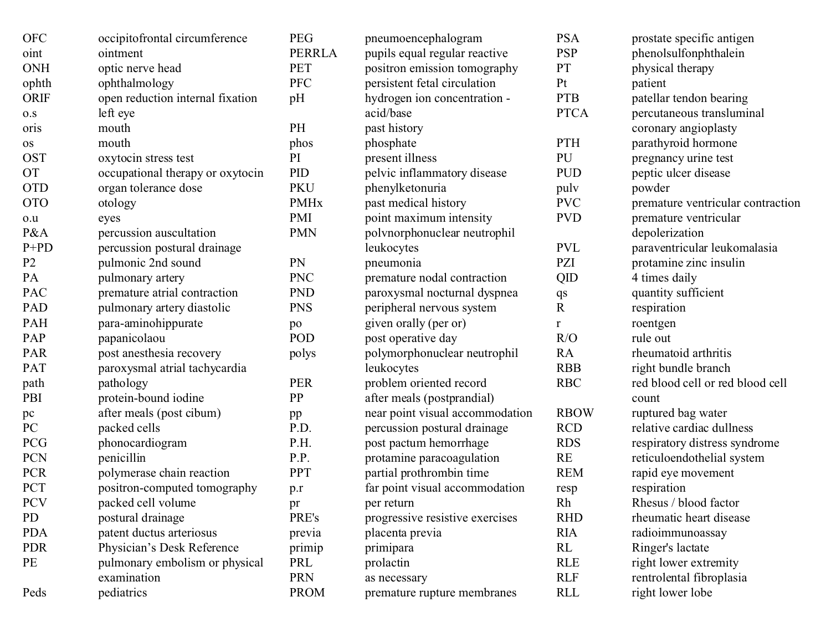| <b>OFC</b>     | occipitofrontal circumference    | <b>PEG</b>             | pneumoencephalogram             | <b>PSA</b>             | prostate specific antigen         |
|----------------|----------------------------------|------------------------|---------------------------------|------------------------|-----------------------------------|
| oint           | ointment                         | <b>PERRLA</b>          | pupils equal regular reactive   | <b>PSP</b>             | phenolsulfonphthalein             |
| <b>ONH</b>     | optic nerve head                 | <b>PET</b>             | positron emission tomography    | <b>PT</b>              | physical therapy                  |
| ophth          | ophthalmology                    | <b>PFC</b>             | persistent fetal circulation    | Pt                     | patient                           |
| <b>ORIF</b>    | open reduction internal fixation | pH                     | hydrogen ion concentration -    | <b>PTB</b>             | patellar tendon bearing           |
| $0. S$         | left eye                         |                        | acid/base                       | <b>PTCA</b>            | percutaneous transluminal         |
| oris           | mouth                            | PH                     | past history                    |                        | coronary angioplasty              |
| <b>OS</b>      | mouth                            | phos                   | phosphate                       | PTH                    | parathyroid hormone               |
| <b>OST</b>     | oxytocin stress test             | PI                     | present illness                 | PU                     | pregnancy urine test              |
| <b>OT</b>      | occupational therapy or oxytocin | PID                    | pelvic inflammatory disease     | <b>PUD</b>             | peptic ulcer disease              |
| <b>OTD</b>     | organ tolerance dose             | <b>PKU</b>             | phenylketonuria                 | puly                   | powder                            |
| <b>OTO</b>     | otology                          | <b>PMH<sub>x</sub></b> | past medical history            | <b>PVC</b>             | premature ventricular contraction |
| $_{\rm 0.0}$   | eyes                             | <b>PMI</b>             | point maximum intensity         | <b>PVD</b>             | premature ventricular             |
| P&A            | percussion auscultation          | <b>PMN</b>             | polynorphonuclear neutrophil    |                        | depolerization                    |
| $P+PD$         | percussion postural drainage     |                        | leukocytes                      | <b>PVL</b>             | paraventricular leukomalasia      |
| P <sub>2</sub> | pulmonic 2nd sound               | PN                     | pneumonia                       | PZI                    | protamine zinc insulin            |
| PA             | pulmonary artery                 | <b>PNC</b>             | premature nodal contraction     | QID                    | 4 times daily                     |
| PAC            | premature atrial contraction     | <b>PND</b>             | paroxysmal nocturnal dyspnea    | $\mathbf{q}\mathbf{s}$ | quantity sufficient               |
| PAD            | pulmonary artery diastolic       | <b>PNS</b>             | peripheral nervous system       | $\mathbf R$            | respiration                       |
| PAH            | para-aminohippurate              | po                     | given orally (per or)           | r                      | roentgen                          |
| PAP            | papanicolaou                     | <b>POD</b>             | post operative day              | R/O                    | rule out                          |
| <b>PAR</b>     | post anesthesia recovery         | polys                  | polymorphonuclear neutrophil    | RA                     | rheumatoid arthritis              |
| PAT            | paroxysmal atrial tachycardia    |                        | leukocytes                      | <b>RBB</b>             | right bundle branch               |
| path           | pathology                        | <b>PER</b>             | problem oriented record         | <b>RBC</b>             | red blood cell or red blood cell  |
| PBI            | protein-bound iodine             | PP                     | after meals (postprandial)      |                        | count                             |
| pc             | after meals (post cibum)         | pp                     | near point visual accommodation | <b>RBOW</b>            | ruptured bag water                |
| PC             | packed cells                     | P.D.                   | percussion postural drainage    | <b>RCD</b>             | relative cardiac dullness         |
| PCG            | phonocardiogram                  | P.H.                   | post pactum hemorrhage          | <b>RDS</b>             | respiratory distress syndrome     |
| PCN            | penicillin                       | P.P.                   | protamine paracoagulation       | RE                     | reticuloendothelial system        |
| <b>PCR</b>     | polymerase chain reaction        | PPT                    | partial prothrombin time        | <b>REM</b>             | rapid eye movement                |
| PCT            | positron-computed tomography     | p.r                    | far point visual accommodation  | resp                   | respiration                       |
| <b>PCV</b>     | packed cell volume               | pr                     | per return                      | Rh                     | Rhesus / blood factor             |
| PD             | postural drainage                | PRE's                  | progressive resistive exercises | <b>RHD</b>             | rheumatic heart disease           |
| <b>PDA</b>     | patent ductus arteriosus         | previa                 | placenta previa                 | <b>RIA</b>             | radioimmunoassay                  |
| <b>PDR</b>     | Physician's Desk Reference       | primip                 | primipara                       | RL                     | Ringer's lactate                  |
| PE             | pulmonary embolism or physical   | PRL                    | prolactin                       | <b>RLE</b>             | right lower extremity             |
|                | examination                      | <b>PRN</b>             | as necessary                    | <b>RLF</b>             | rentrolental fibroplasia          |
| Peds           | pediatrics                       | <b>PROM</b>            | premature rupture membranes     | <b>RLL</b>             | right lower lobe                  |
|                |                                  |                        |                                 |                        |                                   |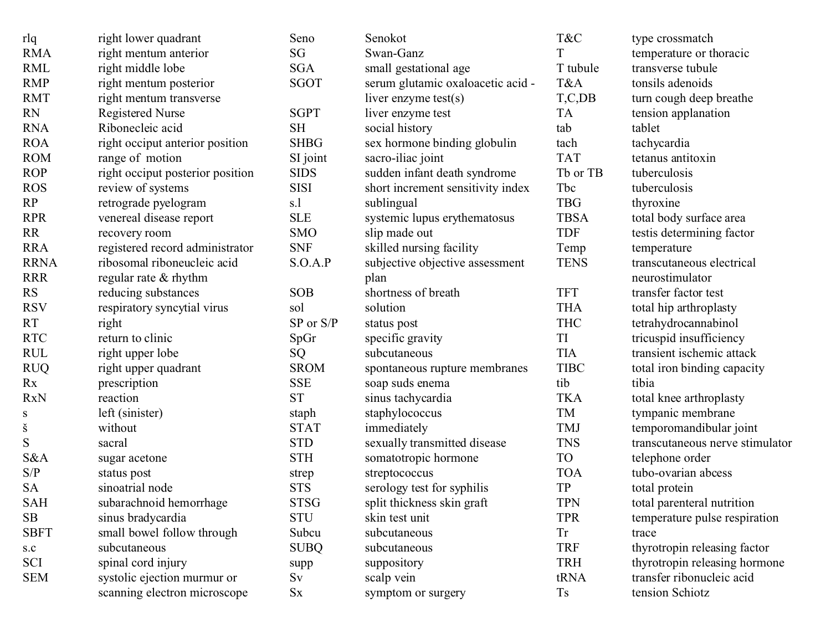| rlq         | right lower quadrant             | Seno        | Senokot                           | T&C         | type crossmatch                 |
|-------------|----------------------------------|-------------|-----------------------------------|-------------|---------------------------------|
| <b>RMA</b>  | right mentum anterior            | SG          | Swan-Ganz                         | T           | temperature or thoracic         |
| <b>RML</b>  | right middle lobe                | <b>SGA</b>  | small gestational age             | T tubule    | transverse tubule               |
| <b>RMP</b>  | right mentum posterior           | SGOT        | serum glutamic oxaloacetic acid - | T&A         | tonsils adenoids                |
| <b>RMT</b>  | right mentum transverse          |             | liver enzyme $test(s)$            | T, C, DB    | turn cough deep breathe         |
| <b>RN</b>   | <b>Registered Nurse</b>          | <b>SGPT</b> | liver enzyme test                 | <b>TA</b>   | tension applanation             |
| <b>RNA</b>  | Ribonecleic acid                 | <b>SH</b>   | social history                    | tab         | tablet                          |
| <b>ROA</b>  | right occiput anterior position  | <b>SHBG</b> | sex hormone binding globulin      | tach        | tachycardia                     |
| <b>ROM</b>  | range of motion                  | SI joint    | sacro-iliac joint                 | <b>TAT</b>  | tetanus antitoxin               |
| <b>ROP</b>  | right occiput posterior position | <b>SIDS</b> | sudden infant death syndrome      | Tb or TB    | tuberculosis                    |
| <b>ROS</b>  | review of systems                | <b>SISI</b> | short increment sensitivity index | Tbc         | tuberculosis                    |
| RP          | retrograde pyelogram             | s.l         | sublingual                        | <b>TBG</b>  | thyroxine                       |
| <b>RPR</b>  | venereal disease report          | <b>SLE</b>  | systemic lupus erythematosus      | <b>TBSA</b> | total body surface area         |
| RR          | recovery room                    | <b>SMO</b>  | slip made out                     | <b>TDF</b>  | testis determining factor       |
| <b>RRA</b>  | registered record administrator  | <b>SNF</b>  | skilled nursing facility          | Temp        | temperature                     |
| <b>RRNA</b> | ribosomal riboneucleic acid      | S.O.A.P     | subjective objective assessment   | <b>TENS</b> | transcutaneous electrical       |
| <b>RRR</b>  | regular rate $&$ rhythm          |             | plan                              |             | neurostimulator                 |
| RS          | reducing substances              | <b>SOB</b>  | shortness of breath               | <b>TFT</b>  | transfer factor test            |
| <b>RSV</b>  | respiratory syncytial virus      | sol         | solution                          | <b>THA</b>  | total hip arthroplasty          |
| RT          | right                            | SP or S/P   | status post                       | <b>THC</b>  | tetrahydrocannabinol            |
| <b>RTC</b>  | return to clinic                 | SpGr        | specific gravity                  | TI          | tricuspid insufficiency         |
| <b>RUL</b>  | right upper lobe                 | SQ          | subcutaneous                      | <b>TIA</b>  | transient ischemic attack       |
| <b>RUQ</b>  | right upper quadrant             | <b>SROM</b> | spontaneous rupture membranes     | <b>TIBC</b> | total iron binding capacity     |
| Rx          | prescription                     | <b>SSE</b>  | soap suds enema                   | tib         | tibia                           |
| <b>RxN</b>  | reaction                         | <b>ST</b>   | sinus tachycardia                 | <b>TKA</b>  | total knee arthroplasty         |
| S           | left (sinister)                  | staph       | staphylococcus                    | TM          | tympanic membrane               |
| š           | without                          | <b>STAT</b> | immediately                       | <b>TMJ</b>  | temporomandibular joint         |
| ${\bf S}$   | sacral                           | <b>STD</b>  | sexually transmitted disease      | <b>TNS</b>  | transcutaneous nerve stimulator |
| S&A         | sugar acetone                    | <b>STH</b>  | somatotropic hormone              | <b>TO</b>   | telephone order                 |
| S/P         | status post                      | strep       | streptococcus                     | <b>TOA</b>  | tubo-ovarian abcess             |
| <b>SA</b>   | sinoatrial node                  | <b>STS</b>  | serology test for syphilis        | <b>TP</b>   | total protein                   |
| SAH         | subarachnoid hemorrhage          | <b>STSG</b> | split thickness skin graft        | <b>TPN</b>  | total parenteral nutrition      |
| SB          | sinus bradycardia                | <b>STU</b>  | skin test unit                    | <b>TPR</b>  | temperature pulse respiration   |
| <b>SBFT</b> | small bowel follow through       | Subcu       | subcutaneous                      | <b>Tr</b>   | trace                           |
| $\rm s.c$   | subcutaneous                     | <b>SUBQ</b> | subcutaneous                      | <b>TRF</b>  | thyrotropin releasing factor    |
| SCI         | spinal cord injury               | supp        | suppository                       | <b>TRH</b>  | thyrotropin releasing hormone   |
| <b>SEM</b>  | systolic ejection murmur or      | Sv          | scalp vein                        | tRNA        | transfer ribonucleic acid       |
|             | scanning electron microscope     | $S_{X}$     | symptom or surgery                | <b>Ts</b>   | tension Schiotz                 |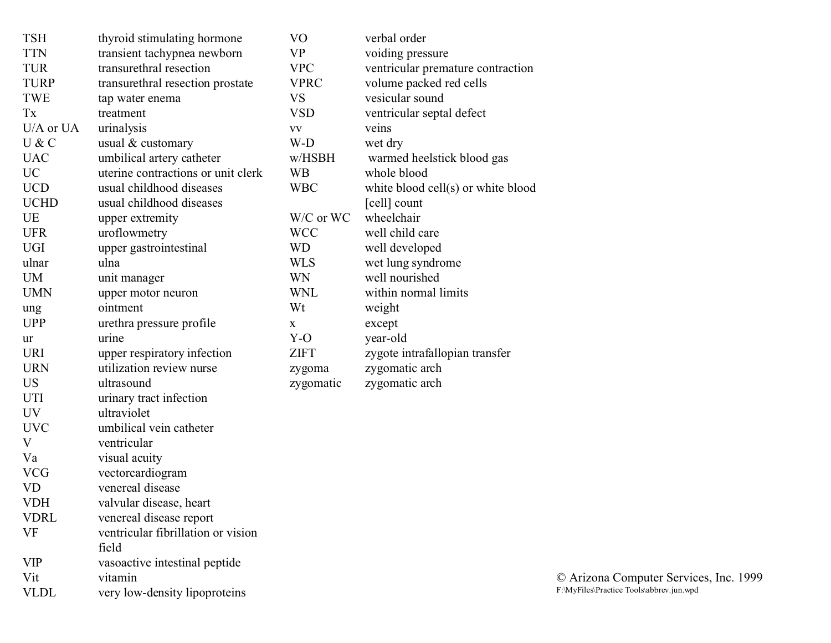| <b>TSH</b>  | thyroid stimulating hormone                 | VO                                               | verbal order                       |
|-------------|---------------------------------------------|--------------------------------------------------|------------------------------------|
| <b>TTN</b>  | transient tachypnea newborn                 | <b>VP</b>                                        | voiding pressure                   |
| <b>TUR</b>  | transurethral resection                     | <b>VPC</b>                                       | ventricular premature contraction  |
| <b>TURP</b> | transurethral resection prostate            | <b>VPRC</b>                                      | volume packed red cells            |
| TWE         | tap water enema                             | <b>VS</b>                                        | vesicular sound                    |
| Tx          | treatment                                   | <b>VSD</b>                                       | ventricular septal defect          |
| U/A or UA   | urinalysis                                  | $\boldsymbol{\mathrm{V}}\boldsymbol{\mathrm{V}}$ | veins                              |
| U & C       | usual & customary                           | W-D                                              | wet dry                            |
| <b>UAC</b>  | umbilical artery catheter                   | w/HSBH                                           | warmed heelstick blood gas         |
| <b>UC</b>   | uterine contractions or unit clerk          | <b>WB</b>                                        | whole blood                        |
| <b>UCD</b>  | usual childhood diseases                    | <b>WBC</b>                                       | white blood cell(s) or white blood |
| <b>UCHD</b> | usual childhood diseases                    |                                                  | [cell] count                       |
| UE          | upper extremity                             | W/C or WC                                        | wheelchair                         |
| <b>UFR</b>  | uroflowmetry                                | <b>WCC</b>                                       | well child care                    |
| <b>UGI</b>  | upper gastrointestinal                      | <b>WD</b>                                        | well developed                     |
| ulnar       | ulna                                        | <b>WLS</b>                                       | wet lung syndrome                  |
| <b>UM</b>   | unit manager                                | <b>WN</b>                                        | well nourished                     |
| <b>UMN</b>  | upper motor neuron                          | <b>WNL</b>                                       | within normal limits               |
| ung         | ointment                                    | Wt                                               | weight                             |
| <b>UPP</b>  | urethra pressure profile                    | X                                                | except                             |
| ur          | urine                                       | $Y-O$                                            | year-old                           |
| <b>URI</b>  | upper respiratory infection                 | <b>ZIFT</b>                                      | zygote intrafallopian transfer     |
| <b>URN</b>  | utilization review nurse                    | zygoma                                           | zygomatic arch                     |
| <b>US</b>   | ultrasound                                  | zygomatic                                        | zygomatic arch                     |
| <b>UTI</b>  | urinary tract infection                     |                                                  |                                    |
| UV          | ultraviolet                                 |                                                  |                                    |
| <b>UVC</b>  | umbilical vein catheter                     |                                                  |                                    |
| $\mathbf V$ | ventricular                                 |                                                  |                                    |
| Va          | visual acuity                               |                                                  |                                    |
| <b>VCG</b>  | vectorcardiogram                            |                                                  |                                    |
| <b>VD</b>   | venereal disease                            |                                                  |                                    |
| <b>VDH</b>  | valvular disease, heart                     |                                                  |                                    |
| <b>VDRL</b> | venereal disease report                     |                                                  |                                    |
| <b>VF</b>   | ventricular fibrillation or vision<br>field |                                                  |                                    |
| <b>VIP</b>  | vasoactive intestinal peptide               |                                                  |                                    |
|             |                                             |                                                  |                                    |

Vit vitamin<br>VLDL very low

very low-density lipoproteins

© Arizona Computer Services, Inc. 1999 F:\MyFiles\Practice Tools\abbrev.jun.wpd